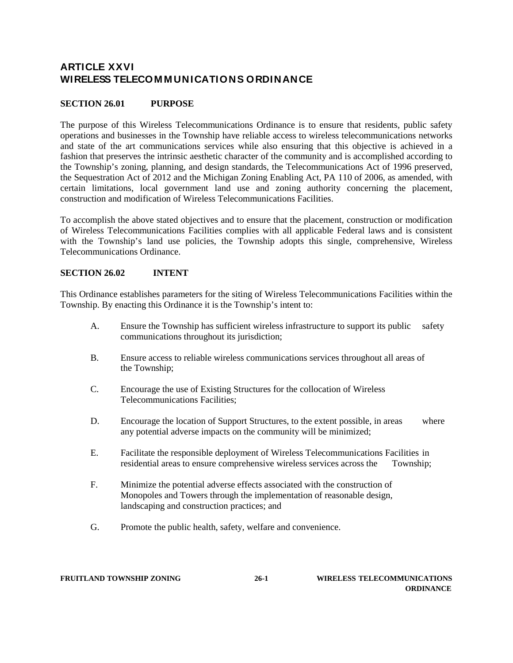# **ARTICLE XXVI WIRELESS TELECOM M UNICATIONS ORDINANCE**

# **SECTION 26.01 PURPOSE**

The purpose of this Wireless Telecommunications Ordinance is to ensure that residents, public safety operations and businesses in the Township have reliable access to wireless telecommunications networks and state of the art communications services while also ensuring that this objective is achieved in a fashion that preserves the intrinsic aesthetic character of the community and is accomplished according to the Township's zoning, planning, and design standards, the Telecommunications Act of 1996 preserved, the Sequestration Act of 2012 and the Michigan Zoning Enabling Act, PA 110 of 2006, as amended, with certain limitations, local government land use and zoning authority concerning the placement, construction and modification of Wireless Telecommunications Facilities.

To accomplish the above stated objectives and to ensure that the placement, construction or modification of Wireless Telecommunications Facilities complies with all applicable Federal laws and is consistent with the Township's land use policies, the Township adopts this single, comprehensive, Wireless Telecommunications Ordinance.

#### **SECTION 26.02 INTENT**

This Ordinance establishes parameters for the siting of Wireless Telecommunications Facilities within the Township. By enacting this Ordinance it is the Township's intent to:

- A. Ensure the Township has sufficient wireless infrastructure to support its public safety communications throughout its jurisdiction;
- B. Ensure access to reliable wireless communications services throughout all areas of the Township;
- C. Encourage the use of Existing Structures for the collocation of Wireless Telecommunications Facilities;
- D. Encourage the location of Support Structures, to the extent possible, in areas where any potential adverse impacts on the community will be minimized;
- E. Facilitate the responsible deployment of Wireless Telecommunications Facilities in residential areas to ensure comprehensive wireless services across the Township;
- F. Minimize the potential adverse effects associated with the construction of Monopoles and Towers through the implementation of reasonable design, landscaping and construction practices; and
- G. Promote the public health, safety, welfare and convenience.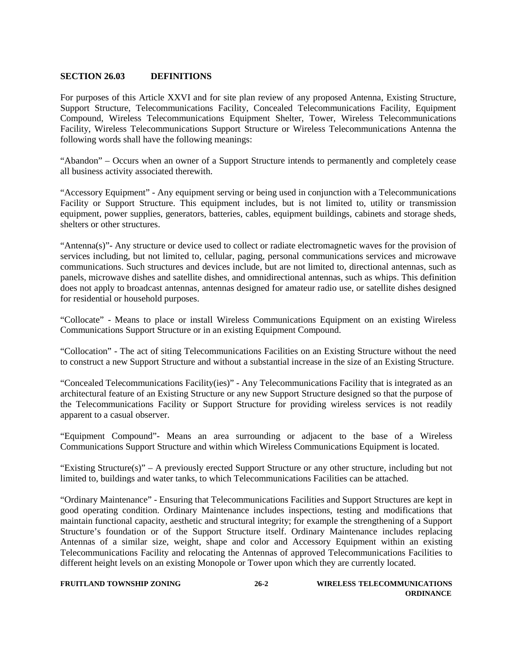### **SECTION 26.03 DEFINITIONS**

For purposes of this Article XXVI and for site plan review of any proposed Antenna, Existing Structure, Support Structure, Telecommunications Facility, Concealed Telecommunications Facility, Equipment Compound, Wireless Telecommunications Equipment Shelter, Tower, Wireless Telecommunications Facility, Wireless Telecommunications Support Structure or Wireless Telecommunications Antenna the following words shall have the following meanings:

"Abandon" – Occurs when an owner of a Support Structure intends to permanently and completely cease all business activity associated therewith.

"Accessory Equipment" - Any equipment serving or being used in conjunction with a Telecommunications Facility or Support Structure. This equipment includes, but is not limited to, utility or transmission equipment, power supplies, generators, batteries, cables, equipment buildings, cabinets and storage sheds, shelters or other structures.

"Antenna(s)"- Any structure or device used to collect or radiate electromagnetic waves for the provision of services including, but not limited to, cellular, paging, personal communications services and microwave communications. Such structures and devices include, but are not limited to, directional antennas, such as panels, microwave dishes and satellite dishes, and omnidirectional antennas, such as whips. This definition does not apply to broadcast antennas, antennas designed for amateur radio use, or satellite dishes designed for residential or household purposes.

"Collocate" - Means to place or install Wireless Communications Equipment on an existing Wireless Communications Support Structure or in an existing Equipment Compound.

"Collocation" - The act of siting Telecommunications Facilities on an Existing Structure without the need to construct a new Support Structure and without a substantial increase in the size of an Existing Structure.

"Concealed Telecommunications Facility(ies)" - Any Telecommunications Facility that is integrated as an architectural feature of an Existing Structure or any new Support Structure designed so that the purpose of the Telecommunications Facility or Support Structure for providing wireless services is not readily apparent to a casual observer.

"Equipment Compound"- Means an area surrounding or adjacent to the base of a Wireless Communications Support Structure and within which Wireless Communications Equipment is located.

"Existing Structure(s)" – A previously erected Support Structure or any other structure, including but not limited to, buildings and water tanks, to which Telecommunications Facilities can be attached.

"Ordinary Maintenance" - Ensuring that Telecommunications Facilities and Support Structures are kept in good operating condition. Ordinary Maintenance includes inspections, testing and modifications that maintain functional capacity, aesthetic and structural integrity; for example the strengthening of a Support Structure's foundation or of the Support Structure itself. Ordinary Maintenance includes replacing Antennas of a similar size, weight, shape and color and Accessory Equipment within an existing Telecommunications Facility and relocating the Antennas of approved Telecommunications Facilities to different height levels on an existing Monopole or Tower upon which they are currently located.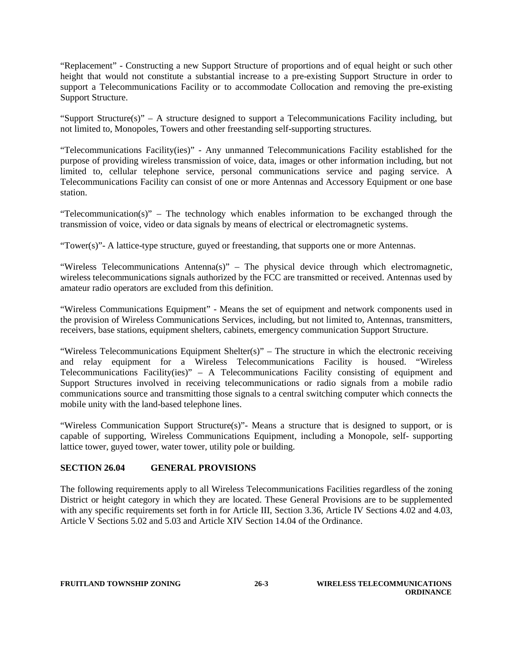"Replacement" - Constructing a new Support Structure of proportions and of equal height or such other height that would not constitute a substantial increase to a pre-existing Support Structure in order to support a Telecommunications Facility or to accommodate Collocation and removing the pre-existing Support Structure.

"Support Structure(s)" – A structure designed to support a Telecommunications Facility including, but not limited to, Monopoles, Towers and other freestanding self-supporting structures.

"Telecommunications Facility(ies)" - Any unmanned Telecommunications Facility established for the purpose of providing wireless transmission of voice, data, images or other information including, but not limited to, cellular telephone service, personal communications service and paging service. A Telecommunications Facility can consist of one or more Antennas and Accessory Equipment or one base station.

"Telecommunication(s)" – The technology which enables information to be exchanged through the transmission of voice, video or data signals by means of electrical or electromagnetic systems.

"Tower(s)"- A lattice-type structure, guyed or freestanding, that supports one or more Antennas.

"Wireless Telecommunications Antenna(s)" – The physical device through which electromagnetic, wireless telecommunications signals authorized by the FCC are transmitted or received. Antennas used by amateur radio operators are excluded from this definition.

"Wireless Communications Equipment" - Means the set of equipment and network components used in the provision of Wireless Communications Services, including, but not limited to, Antennas, transmitters, receivers, base stations, equipment shelters, cabinets, emergency communication Support Structure.

"Wireless Telecommunications Equipment Shelter(s)" – The structure in which the electronic receiving and relay equipment for a Wireless Telecommunications Facility is housed. "Wireless Telecommunications Facility(ies)" – A Telecommunications Facility consisting of equipment and Support Structures involved in receiving telecommunications or radio signals from a mobile radio communications source and transmitting those signals to a central switching computer which connects the mobile unity with the land-based telephone lines.

"Wireless Communication Support Structure(s)"- Means a structure that is designed to support, or is capable of supporting, Wireless Communications Equipment, including a Monopole, self- supporting lattice tower, guyed tower, water tower, utility pole or building.

# **SECTION 26.04 GENERAL PROVISIONS**

The following requirements apply to all Wireless Telecommunications Facilities regardless of the zoning District or height category in which they are located. These General Provisions are to be supplemented with any specific requirements set forth in for Article III, Section 3.36, Article IV Sections 4.02 and 4.03, Article V Sections 5.02 and 5.03 and Article XIV Section 14.04 of the Ordinance.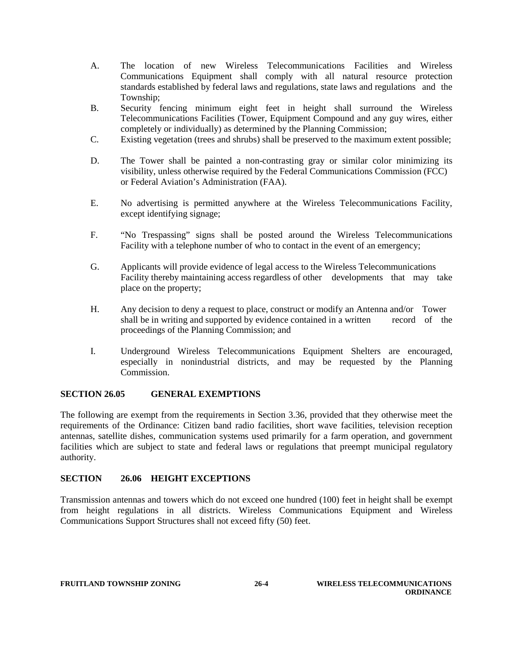- A. The location of new Wireless Telecommunications Facilities and Wireless Communications Equipment shall comply with all natural resource protection standards established by federal laws and regulations, state laws and regulations and the Township;
- B. Security fencing minimum eight feet in height shall surround the Wireless Telecommunications Facilities (Tower, Equipment Compound and any guy wires, either completely or individually) as determined by the Planning Commission;
- C. Existing vegetation (trees and shrubs) shall be preserved to the maximum extent possible;
- D. The Tower shall be painted a non-contrasting gray or similar color minimizing its visibility, unless otherwise required by the Federal Communications Commission (FCC) or Federal Aviation's Administration (FAA).
- E. No advertising is permitted anywhere at the Wireless Telecommunications Facility, except identifying signage;
- F. "No Trespassing" signs shall be posted around the Wireless Telecommunications Facility with a telephone number of who to contact in the event of an emergency;
- G. Applicants will provide evidence of legal access to the Wireless Telecommunications Facility thereby maintaining access regardless of other developments that may take place on the property;
- H. Any decision to deny a request to place, construct or modify an Antenna and/or Tower shall be in writing and supported by evidence contained in a written record of the proceedings of the Planning Commission; and
- I. Underground Wireless Telecommunications Equipment Shelters are encouraged, especially in nonindustrial districts, and may be requested by the Planning Commission.

### **SECTION 26.05 GENERAL EXEMPTIONS**

The following are exempt from the requirements in Section 3.36, provided that they otherwise meet the requirements of the Ordinance: Citizen band radio facilities, short wave facilities, television reception antennas, satellite dishes, communication systems used primarily for a farm operation, and government facilities which are subject to state and federal laws or regulations that preempt municipal regulatory authority.

### **SECTION 26.06 HEIGHT EXCEPTIONS**

Transmission antennas and towers which do not exceed one hundred (100) feet in height shall be exempt from height regulations in all districts. Wireless Communications Equipment and Wireless Communications Support Structures shall not exceed fifty (50) feet.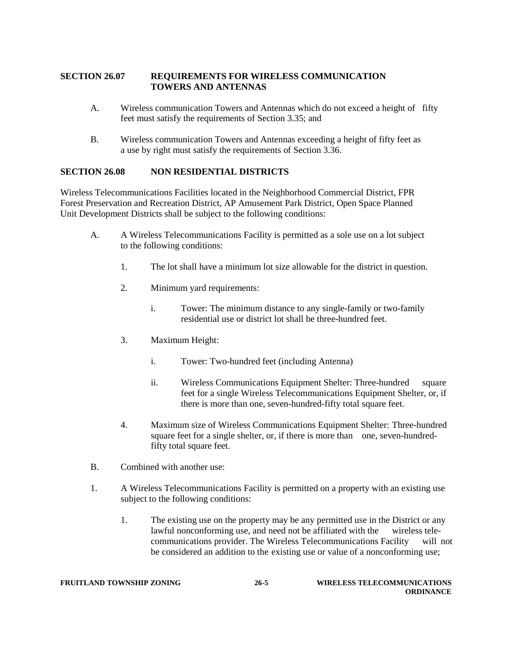### **SECTION 26.07 REQUIREMENTS FOR WIRELESS COMMUNICATION TOWERS AND ANTENNAS**

- A. Wireless communication Towers and Antennas which do not exceed a height of fifty feet must satisfy the requirements of Section 3.35; and
- B. Wireless communication Towers and Antennas exceeding a height of fifty feet as a use by right must satisfy the requirements of Section 3.36.

### **SECTION 26.08 NON RESIDENTIAL DISTRICTS**

Wireless Telecommunications Facilities located in the Neighborhood Commercial District, FPR Forest Preservation and Recreation District, AP Amusement Park District, Open Space Planned Unit Development Districts shall be subject to the following conditions:

- A. A Wireless Telecommunications Facility is permitted as a sole use on a lot subject to the following conditions:
	- 1. The lot shall have a minimum lot size allowable for the district in question.
	- 2. Minimum yard requirements:
		- i. Tower: The minimum distance to any single-family or two-family residential use or district lot shall be three-hundred feet.
	- 3. Maximum Height:
		- i. Tower: Two-hundred feet (including Antenna)
		- ii. Wireless Communications Equipment Shelter: Three-hundred square feet for a single Wireless Telecommunications Equipment Shelter, or, if there is more than one, seven-hundred-fifty total square feet.
	- 4. Maximum size of Wireless Communications Equipment Shelter: Three-hundred square feet for a single shelter, or, if there is more than one, seven-hundredfifty total square feet.
- B. Combined with another use:
- 1. A Wireless Telecommunications Facility is permitted on a property with an existing use subject to the following conditions:
	- 1. The existing use on the property may be any permitted use in the District or any lawful nonconforming use, and need not be affiliated with the wireless telecommunications provider. The Wireless Telecommunications Facility will not be considered an addition to the existing use or value of a nonconforming use;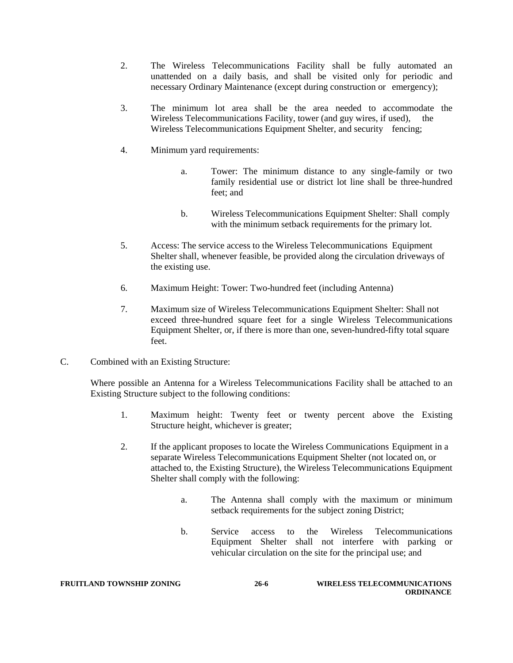- 2. The Wireless Telecommunications Facility shall be fully automated an unattended on a daily basis, and shall be visited only for periodic and necessary Ordinary Maintenance (except during construction or emergency);
- 3. The minimum lot area shall be the area needed to accommodate the Wireless Telecommunications Facility, tower (and guy wires, if used), the Wireless Telecommunications Equipment Shelter, and security fencing;
- 4. Minimum yard requirements:
	- a. Tower: The minimum distance to any single-family or two family residential use or district lot line shall be three-hundred feet; and
	- b. Wireless Telecommunications Equipment Shelter: Shall comply with the minimum setback requirements for the primary lot.
- 5. Access: The service access to the Wireless Telecommunications Equipment Shelter shall, whenever feasible, be provided along the circulation driveways of the existing use.
- 6. Maximum Height: Tower: Two-hundred feet (including Antenna)
- 7. Maximum size of Wireless Telecommunications Equipment Shelter: Shall not exceed three-hundred square feet for a single Wireless Telecommunications Equipment Shelter, or, if there is more than one, seven-hundred-fifty total square feet.
- C. Combined with an Existing Structure:

Where possible an Antenna for a Wireless Telecommunications Facility shall be attached to an Existing Structure subject to the following conditions:

- 1. Maximum height: Twenty feet or twenty percent above the Existing Structure height, whichever is greater;
- 2. If the applicant proposes to locate the Wireless Communications Equipment in a separate Wireless Telecommunications Equipment Shelter (not located on, or attached to, the Existing Structure), the Wireless Telecommunications Equipment Shelter shall comply with the following:
	- a. The Antenna shall comply with the maximum or minimum setback requirements for the subject zoning District;
	- b. Service access to the Wireless Telecommunications Equipment Shelter shall not interfere with parking or vehicular circulation on the site for the principal use; and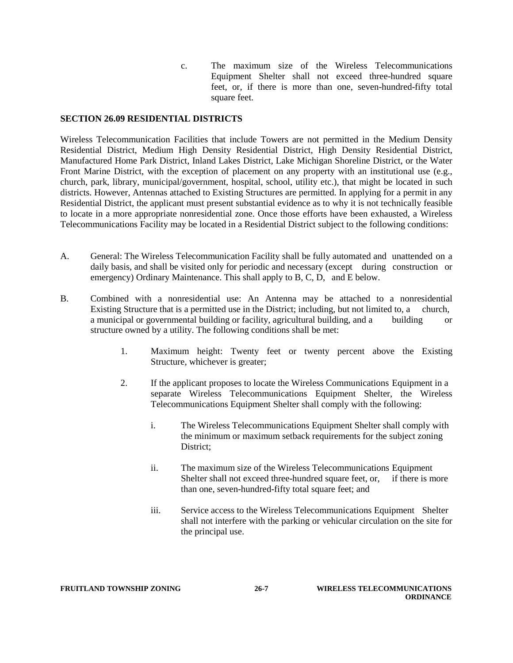c. The maximum size of the Wireless Telecommunications Equipment Shelter shall not exceed three-hundred square feet, or, if there is more than one, seven-hundred-fifty total square feet.

### **SECTION 26.09 RESIDENTIAL DISTRICTS**

Wireless Telecommunication Facilities that include Towers are not permitted in the Medium Density Residential District, Medium High Density Residential District, High Density Residential District, Manufactured Home Park District, Inland Lakes District, Lake Michigan Shoreline District, or the Water Front Marine District, with the exception of placement on any property with an institutional use (e.g., church, park, library, municipal/government, hospital, school, utility etc.), that might be located in such districts. However, Antennas attached to Existing Structures are permitted. In applying for a permit in any Residential District, the applicant must present substantial evidence as to why it is not technically feasible to locate in a more appropriate nonresidential zone. Once those efforts have been exhausted, a Wireless Telecommunications Facility may be located in a Residential District subject to the following conditions:

- A. General: The Wireless Telecommunication Facility shall be fully automated and unattended on a daily basis, and shall be visited only for periodic and necessary (except during construction or emergency) Ordinary Maintenance. This shall apply to B, C, D, and E below.
- B. Combined with a nonresidential use: An Antenna may be attached to a nonresidential Existing Structure that is a permitted use in the District; including, but not limited to, a church, a municipal or governmental building or facility, agricultural building, and a building or structure owned by a utility. The following conditions shall be met:
	- 1. Maximum height: Twenty feet or twenty percent above the Existing Structure, whichever is greater;
	- 2. If the applicant proposes to locate the Wireless Communications Equipment in a separate Wireless Telecommunications Equipment Shelter, the Wireless Telecommunications Equipment Shelter shall comply with the following:
		- i. The Wireless Telecommunications Equipment Shelter shall comply with the minimum or maximum setback requirements for the subject zoning District;
		- ii. The maximum size of the Wireless Telecommunications Equipment Shelter shall not exceed three-hundred square feet, or, if there is more than one, seven-hundred-fifty total square feet; and
		- iii. Service access to the Wireless Telecommunications Equipment Shelter shall not interfere with the parking or vehicular circulation on the site for the principal use.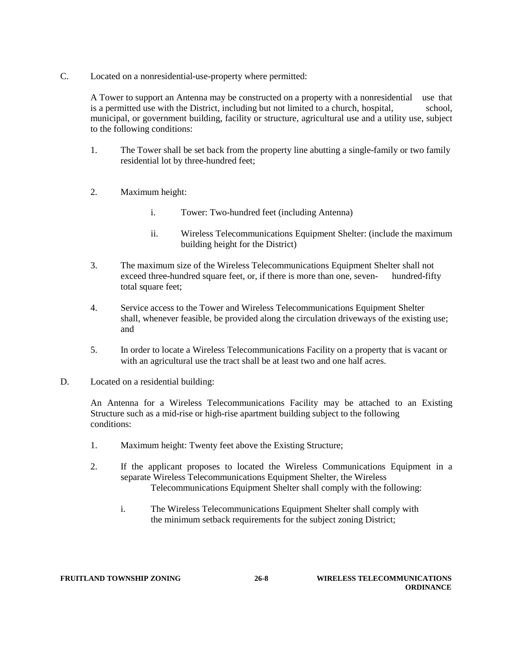C. Located on a nonresidential-use-property where permitted:

A Tower to support an Antenna may be constructed on a property with a nonresidential use that is a permitted use with the District, including but not limited to a church, hospital, school, municipal, or government building, facility or structure, agricultural use and a utility use, subject to the following conditions:

- 1. The Tower shall be set back from the property line abutting a single-family or two family residential lot by three-hundred feet;
- 2. Maximum height:
	- i. Tower: Two-hundred feet (including Antenna)
	- ii. Wireless Telecommunications Equipment Shelter: (include the maximum building height for the District)
- 3. The maximum size of the Wireless Telecommunications Equipment Shelter shall not exceed three-hundred square feet, or, if there is more than one, seven- hundred-fifty total square feet;
- 4. Service access to the Tower and Wireless Telecommunications Equipment Shelter shall, whenever feasible, be provided along the circulation driveways of the existing use; and
- 5. In order to locate a Wireless Telecommunications Facility on a property that is vacant or with an agricultural use the tract shall be at least two and one half acres.
- D. Located on a residential building:

An Antenna for a Wireless Telecommunications Facility may be attached to an Existing Structure such as a mid-rise or high-rise apartment building subject to the following conditions:

- 1. Maximum height: Twenty feet above the Existing Structure;
- 2. If the applicant proposes to located the Wireless Communications Equipment in a separate Wireless Telecommunications Equipment Shelter, the Wireless Telecommunications Equipment Shelter shall comply with the following:
	- i. The Wireless Telecommunications Equipment Shelter shall comply with the minimum setback requirements for the subject zoning District;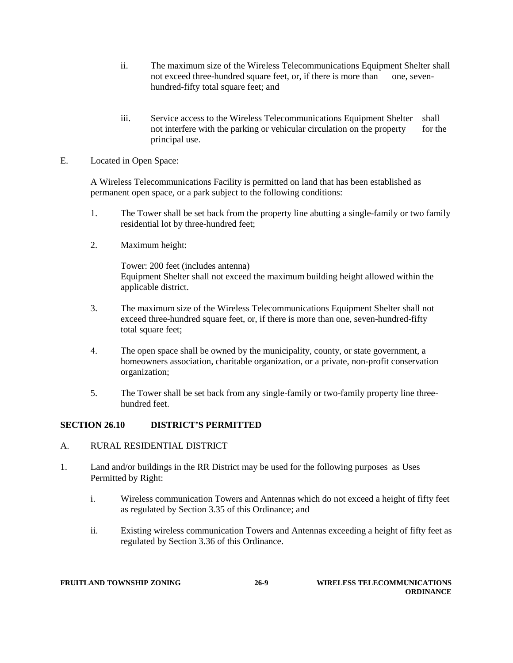- ii. The maximum size of the Wireless Telecommunications Equipment Shelter shall not exceed three-hundred square feet, or, if there is more than one, sevenhundred-fifty total square feet; and
- iii. Service access to the Wireless Telecommunications Equipment Shelter shall not interfere with the parking or vehicular circulation on the property for the principal use.
- E. Located in Open Space:

A Wireless Telecommunications Facility is permitted on land that has been established as permanent open space, or a park subject to the following conditions:

- 1. The Tower shall be set back from the property line abutting a single-family or two family residential lot by three-hundred feet;
- 2. Maximum height:

Tower: 200 feet (includes antenna) Equipment Shelter shall not exceed the maximum building height allowed within the applicable district.

- 3. The maximum size of the Wireless Telecommunications Equipment Shelter shall not exceed three-hundred square feet, or, if there is more than one, seven-hundred-fifty total square feet;
- 4. The open space shall be owned by the municipality, county, or state government, a homeowners association, charitable organization, or a private, non-profit conservation organization;
- 5. The Tower shall be set back from any single-family or two-family property line threehundred feet.

# **SECTION 26.10 DISTRICT'S PERMITTED**

- A. RURAL RESIDENTIAL DISTRICT
- 1. Land and/or buildings in the RR District may be used for the following purposes as Uses Permitted by Right:
	- i. Wireless communication Towers and Antennas which do not exceed a height of fifty feet as regulated by Section 3.35 of this Ordinance; and
	- ii. Existing wireless communication Towers and Antennas exceeding a height of fifty feet as regulated by Section 3.36 of this Ordinance.